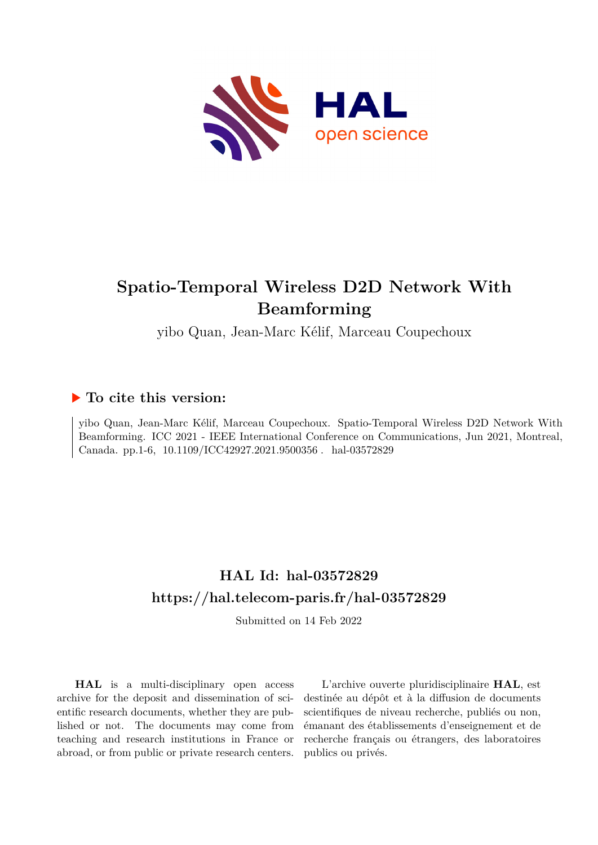

## **Spatio-Temporal Wireless D2D Network With Beamforming**

yibo Quan, Jean-Marc Kélif, Marceau Coupechoux

### **To cite this version:**

yibo Quan, Jean-Marc Kélif, Marceau Coupechoux. Spatio-Temporal Wireless D2D Network With Beamforming. ICC 2021 - IEEE International Conference on Communications, Jun 2021, Montreal, Canada. pp.1-6,  $10.1109/ICC42927.2021.9500356$ . hal-03572829

## **HAL Id: hal-03572829 <https://hal.telecom-paris.fr/hal-03572829>**

Submitted on 14 Feb 2022

**HAL** is a multi-disciplinary open access archive for the deposit and dissemination of scientific research documents, whether they are published or not. The documents may come from teaching and research institutions in France or abroad, or from public or private research centers.

L'archive ouverte pluridisciplinaire **HAL**, est destinée au dépôt et à la diffusion de documents scientifiques de niveau recherche, publiés ou non, émanant des établissements d'enseignement et de recherche français ou étrangers, des laboratoires publics ou privés.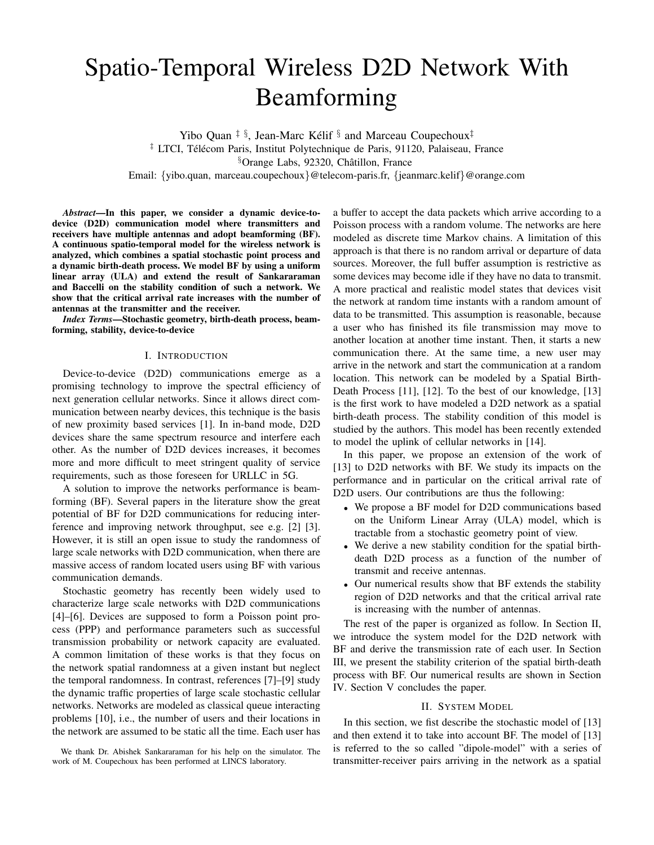# Spatio-Temporal Wireless D2D Network With Beamforming

Yibo Quan  $\ddagger$  §, Jean-Marc Kélif § and Marceau Coupechoux $\dagger$  $\ddagger$  LTCI, Télécom Paris, Institut Polytechnique de Paris, 91120, Palaiseau, France §Orange Labs, 92320, Châtillon, France Email: {yibo.quan, marceau.coupechoux}@telecom-paris.fr, {jeanmarc.kelif}@orange.com

*Abstract*—In this paper, we consider a dynamic device-todevice (D2D) communication model where transmitters and receivers have multiple antennas and adopt beamforming (BF). A continuous spatio-temporal model for the wireless network is analyzed, which combines a spatial stochastic point process and a dynamic birth-death process. We model BF by using a uniform linear array (ULA) and extend the result of Sankararaman and Baccelli on the stability condition of such a network. We show that the critical arrival rate increases with the number of antennas at the transmitter and the receiver.

*Index Terms*—Stochastic geometry, birth-death process, beamforming, stability, device-to-device

#### I. INTRODUCTION

Device-to-device (D2D) communications emerge as a promising technology to improve the spectral efficiency of next generation cellular networks. Since it allows direct communication between nearby devices, this technique is the basis of new proximity based services [1]. In in-band mode, D2D devices share the same spectrum resource and interfere each other. As the number of D2D devices increases, it becomes more and more difficult to meet stringent quality of service requirements, such as those foreseen for URLLC in 5G.

A solution to improve the networks performance is beamforming (BF). Several papers in the literature show the great potential of BF for D2D communications for reducing interference and improving network throughput, see e.g. [2] [3]. However, it is still an open issue to study the randomness of large scale networks with D2D communication, when there are massive access of random located users using BF with various communication demands.

Stochastic geometry has recently been widely used to characterize large scale networks with D2D communications [4]–[6]. Devices are supposed to form a Poisson point process (PPP) and performance parameters such as successful transmission probability or network capacity are evaluated. A common limitation of these works is that they focus on the network spatial randomness at a given instant but neglect the temporal randomness. In contrast, references [7]–[9] study the dynamic traffic properties of large scale stochastic cellular networks. Networks are modeled as classical queue interacting problems [10], i.e., the number of users and their locations in the network are assumed to be static all the time. Each user has

We thank Dr. Abishek Sankararaman for his help on the simulator. The work of M. Coupechoux has been performed at LINCS laboratory.

a buffer to accept the data packets which arrive according to a Poisson process with a random volume. The networks are here modeled as discrete time Markov chains. A limitation of this approach is that there is no random arrival or departure of data sources. Moreover, the full buffer assumption is restrictive as some devices may become idle if they have no data to transmit. A more practical and realistic model states that devices visit the network at random time instants with a random amount of data to be transmitted. This assumption is reasonable, because a user who has finished its file transmission may move to another location at another time instant. Then, it starts a new communication there. At the same time, a new user may arrive in the network and start the communication at a random location. This network can be modeled by a Spatial Birth-Death Process [11], [12]. To the best of our knowledge, [13] is the first work to have modeled a D2D network as a spatial birth-death process. The stability condition of this model is studied by the authors. This model has been recently extended to model the uplink of cellular networks in [14].

In this paper, we propose an extension of the work of [13] to D2D networks with BF. We study its impacts on the performance and in particular on the critical arrival rate of D2D users. Our contributions are thus the following:

- We propose a BF model for D2D communications based on the Uniform Linear Array (ULA) model, which is tractable from a stochastic geometry point of view.
- We derive a new stability condition for the spatial birthdeath D2D process as a function of the number of transmit and receive antennas.
- Our numerical results show that BF extends the stability region of D2D networks and that the critical arrival rate is increasing with the number of antennas.

The rest of the paper is organized as follow. In Section II, we introduce the system model for the D2D network with BF and derive the transmission rate of each user. In Section III, we present the stability criterion of the spatial birth-death process with BF. Our numerical results are shown in Section IV. Section V concludes the paper.

#### II. SYSTEM MODEL

In this section, we fist describe the stochastic model of [13] and then extend it to take into account BF. The model of [13] is referred to the so called "dipole-model" with a series of transmitter-receiver pairs arriving in the network as a spatial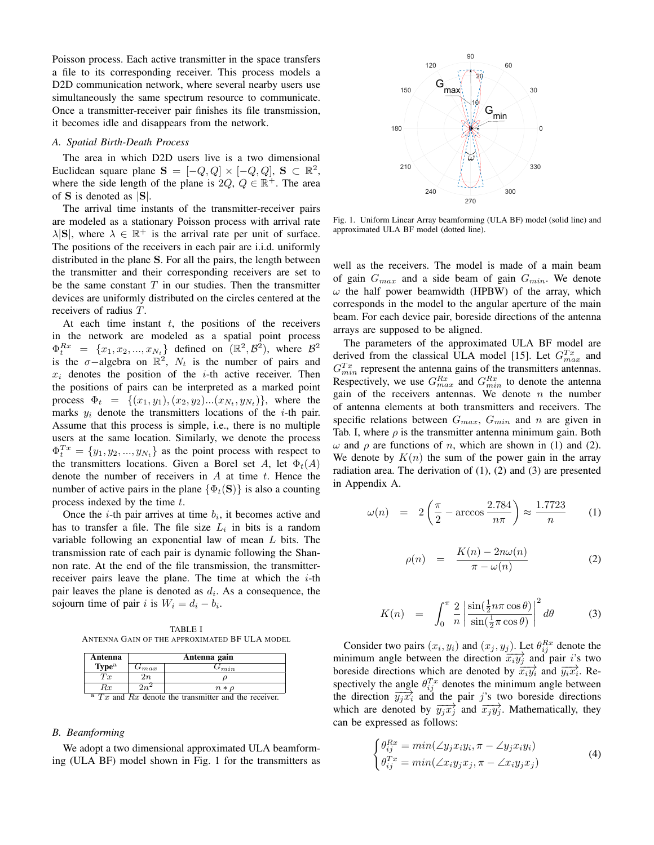Poisson process. Each active transmitter in the space transfers a file to its corresponding receiver. This process models a D2D communication network, where several nearby users use simultaneously the same spectrum resource to communicate. Once a transmitter-receiver pair finishes its file transmission, it becomes idle and disappears from the network.

#### *A. Spatial Birth-Death Process*

The area in which D2D users live is a two dimensional Euclidean square plane  $S = [-Q, Q] \times [-Q, Q]$ ,  $S \subset \mathbb{R}^2$ , where the side length of the plane is  $2Q, Q \in \mathbb{R}^+$ . The area of S is denoted as |S|.

The arrival time instants of the transmitter-receiver pairs are modeled as a stationary Poisson process with arrival rate  $\lambda |S|$ , where  $\lambda \in \mathbb{R}^+$  is the arrival rate per unit of surface. The positions of the receivers in each pair are i.i.d. uniformly distributed in the plane S. For all the pairs, the length between the transmitter and their corresponding receivers are set to be the same constant  $T$  in our studies. Then the transmitter devices are uniformly distributed on the circles centered at the receivers of radius T.

At each time instant  $t$ , the positions of the receivers in the network are modeled as a spatial point process  $\Phi_t^{Rx} = \{x_1, x_2, ..., x_{N_t}\}\$  defined on  $(\mathbb{R}^2, \mathcal{B}^2)$ , where  $\mathcal{B}^2$ is the  $\sigma$ -algebra on  $\mathbb{R}^2$ ,  $N_t$  is the number of pairs and  $x_i$  denotes the position of the *i*-th active receiver. Then the positions of pairs can be interpreted as a marked point process  $\Phi_t = \{ (x_1, y_1), (x_2, y_2) ... (x_{N_t}, y_{N_t}) \}$ , where the marks  $y_i$  denote the transmitters locations of the *i*-th pair. Assume that this process is simple, i.e., there is no multiple users at the same location. Similarly, we denote the process  $\Phi_t^{Tx} = \{y_1, y_2, ..., y_{N_t}\}\$ as the point process with respect to the transmitters locations. Given a Borel set A, let  $\Phi_t(A)$ denote the number of receivers in  $A$  at time  $t$ . Hence the number of active pairs in the plane  $\{\Phi_t(\mathbf{S})\}$  is also a counting process indexed by the time  $t$ .

Once the *i*-th pair arrives at time  $b_i$ , it becomes active and has to transfer a file. The file size  $L_i$  in bits is a random variable following an exponential law of mean L bits. The transmission rate of each pair is dynamic following the Shannon rate. At the end of the file transmission, the transmitterreceiver pairs leave the plane. The time at which the  $i$ -th pair leaves the plane is denoted as  $d_i$ . As a consequence, the sojourn time of pair *i* is  $W_i = d_i - b_i$ .

TABLE I ANTENNA GAIN OF THE APPROXIMATED BF ULA MODEL

| Antenna                                                       | Antenna gain |                |
|---------------------------------------------------------------|--------------|----------------|
| Type <sup>a</sup>                                             | $G_{max}$    | $\sigma_{min}$ |
| Tx                                                            | 2n           |                |
| Rx                                                            | $2n^2$       | $n * \rho$     |
| $^{\rm a}$ Tx and Rx denote the transmitter and the receiver. |              |                |

#### *B. Beamforming*

We adopt a two dimensional approximated ULA beamforming (ULA BF) model shown in Fig. 1 for the transmitters as



Fig. 1. Uniform Linear Array beamforming (ULA BF) model (solid line) and approximated ULA BF model (dotted line).

well as the receivers. The model is made of a main beam of gain  $G_{max}$  and a side beam of gain  $G_{min}$ . We denote  $\omega$  the half power beamwidth (HPBW) of the array, which corresponds in the model to the angular aperture of the main beam. For each device pair, boreside directions of the antenna arrays are supposed to be aligned.

The parameters of the approximated ULA BF model are derived from the classical ULA model [15]. Let  $G_{max}^{Tx}$  and  $G_{min}^{Tx}$  represent the antenna gains of the transmitters antennas. Respectively, we use  $G_{max}^{Rx}$  and  $G_{min}^{Rx}$  to denote the antenna gain of the receivers antennas. We denote  $n$  the number of antenna elements at both transmitters and receivers. The specific relations between  $G_{max}$ ,  $G_{min}$  and n are given in Tab. I, where  $\rho$  is the transmitter antenna minimum gain. Both  $ω$  and  $ρ$  are functions of *n*, which are shown in (1) and (2). We denote by  $K(n)$  the sum of the power gain in the array radiation area. The derivation of (1), (2) and (3) are presented in Appendix A.

$$
\omega(n) = 2\left(\frac{\pi}{2} - \arccos\frac{2.784}{n\pi}\right) \approx \frac{1.7723}{n} \qquad (1)
$$

$$
\rho(n) = \frac{K(n) - 2n\omega(n)}{\pi - \omega(n)} \tag{2}
$$

$$
K(n) = \int_0^{\pi} \frac{2}{n} \left| \frac{\sin(\frac{1}{2}n\pi\cos\theta)}{\sin(\frac{1}{2}\pi\cos\theta)} \right|^2 d\theta \qquad (3)
$$

Consider two pairs  $(x_i, y_i)$  and  $(x_j, y_j)$ . Let  $\theta_{ij}^{Rx}$  denote the minimum angle between the direction  $\overline{x_i y_j}$  and pair *i*'s two boreside directions which are denoted by  $\overrightarrow{x_i y_j}$  and  $\overrightarrow{y_i x_i}$ . Respectively the angle  $\theta_{ij}^{T_x}$  denotes the minimum angle between the direction  $\overrightarrow{y_jx_i}$  and the pair j's two boreside directions which are denoted by  $\overrightarrow{y_jx_j}$  and  $\overrightarrow{x_jy_j}$ . Mathematically, they can be expressed as follows:

$$
\begin{cases}\n\theta_{ij}^{Rx} = min(\angle y_j x_i y_i, \pi - \angle y_j x_i y_i) \\
\theta_{ij}^{Tx} = min(\angle x_i y_j x_j, \pi - \angle x_i y_j x_j)\n\end{cases}
$$
\n(4)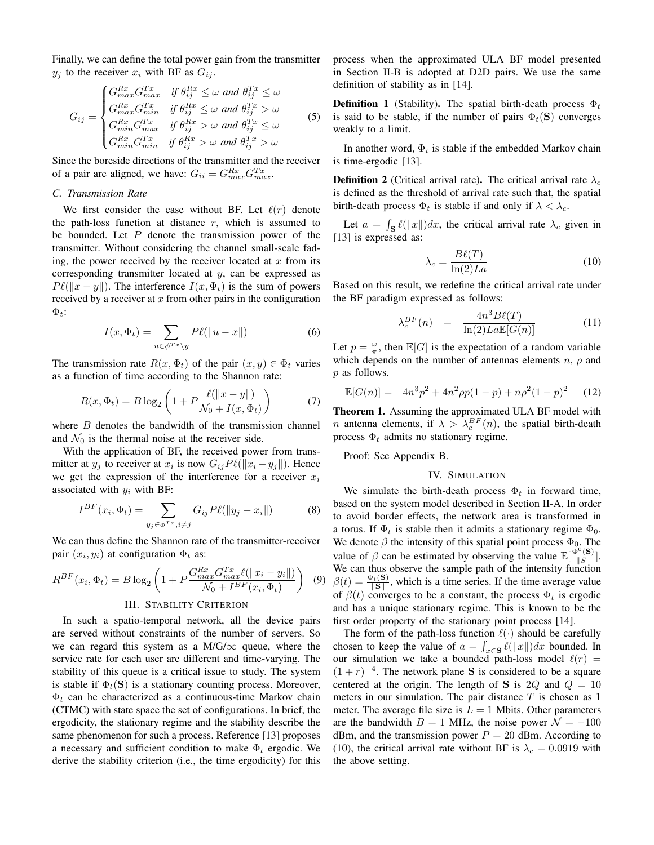Finally, we can define the total power gain from the transmitter  $y_i$  to the receiver  $x_i$  with BF as  $G_{ij}$ .

$$
G_{ij} = \begin{cases} G_{max}^{Rx} G_{max}^{Tx} & \text{if } \theta_{ij}^{Rx} \le \omega \text{ and } \theta_{ij}^{Tx} \le \omega \\ G_{max}^{Rx} G_{min}^{Tx} & \text{if } \theta_{ij}^{Rx} \le \omega \text{ and } \theta_{ij}^{Tx} > \omega \\ G_{min}^{Rx} G_{max}^{Tx} & \text{if } \theta_{ij}^{Rx} > \omega \text{ and } \theta_{ij}^{Tx} \le \omega \\ G_{min}^{Rx} G_{min}^{Tx} & \text{if } \theta_{ij}^{Rx} > \omega \text{ and } \theta_{ij}^{Tx} > \omega \end{cases}
$$
(5)

Since the boreside directions of the transmitter and the receiver of a pair are aligned, we have:  $G_{ii} = G_{max}^{Rx} G_{max}^{Tx}$ .

#### *C. Transmission Rate*

We first consider the case without BF. Let  $\ell(r)$  denote the path-loss function at distance  $r$ , which is assumed to be bounded. Let  $P$  denote the transmission power of the transmitter. Without considering the channel small-scale fading, the power received by the receiver located at  $x$  from its corresponding transmitter located at y, can be expressed as  $P \ell(\|x - y\|)$ . The interference  $I(x, \Phi_t)$  is the sum of powers received by a receiver at  $x$  from other pairs in the configuration  $\Phi_t$ :

$$
I(x, \Phi_t) = \sum_{u \in \phi^{Tx} \setminus y} P\ell(||u - x||)
$$
 (6)

The transmission rate  $R(x, \Phi_t)$  of the pair  $(x, y) \in \Phi_t$  varies as a function of time according to the Shannon rate:

$$
R(x, \Phi_t) = B \log_2 \left( 1 + P \frac{\ell(\|x - y\|)}{\mathcal{N}_0 + I(x, \Phi_t)} \right)
$$
(7)

where  $B$  denotes the bandwidth of the transmission channel and  $\mathcal{N}_0$  is the thermal noise at the receiver side.

With the application of BF, the received power from transmitter at  $y_j$  to receiver at  $x_i$  is now  $G_{ij}P\ell(||x_i - y_j||)$ . Hence we get the expression of the interference for a receiver  $x_i$ associated with  $y_i$  with BF:

$$
I^{BF}(x_i, \Phi_t) = \sum_{y_j \in \phi^{Tx}, i \neq j} G_{ij} P\ell(||y_j - x_i||)
$$
 (8)

We can thus define the Shannon rate of the transmitter-receiver pair  $(x_i, y_i)$  at configuration  $\Phi_t$  as:

$$
R^{BF}(x_i, \Phi_t) = B \log_2 \left( 1 + P \frac{G_{max}^{Rx} G_{max}^{Tx} \ell(\|x_i - y_i\|)}{\mathcal{N}_0 + I^{BF}(x_i, \Phi_t)} \right) \tag{S}
$$

#### III. STABILITY CRITERION

In such a spatio-temporal network, all the device pairs are served without constraints of the number of servers. So we can regard this system as a M/G/ $\infty$  queue, where the service rate for each user are different and time-varying. The stability of this queue is a critical issue to study. The system is stable if  $\Phi_t(\mathbf{S})$  is a stationary counting process. Moreover,  $\Phi_t$  can be characterized as a continuous-time Markov chain (CTMC) with state space the set of configurations. In brief, the ergodicity, the stationary regime and the stability describe the same phenomenon for such a process. Reference [13] proposes a necessary and sufficient condition to make  $\Phi_t$  ergodic. We derive the stability criterion (i.e., the time ergodicity) for this process when the approximated ULA BF model presented in Section II-B is adopted at D2D pairs. We use the same definition of stability as in [14].

**Definition 1** (Stability). The spatial birth-death process  $\Phi_t$ is said to be stable, if the number of pairs  $\Phi_t(\mathbf{S})$  converges weakly to a limit.

In another word,  $\Phi_t$  is stable if the embedded Markov chain is time-ergodic [13].

**Definition 2** (Critical arrival rate). The critical arrival rate  $\lambda_c$ is defined as the threshold of arrival rate such that, the spatial birth-death process  $\Phi_t$  is stable if and only if  $\lambda < \lambda_c$ .

Let  $a = \int_{\mathbf{S}} \ell(\Vert x \Vert) dx$ , the critical arrival rate  $\lambda_c$  given in [13] is expressed as:

$$
\lambda_c = \frac{B\ell(T)}{\ln(2)La} \tag{10}
$$

Based on this result, we redefine the critical arrival rate under the BF paradigm expressed as follows:

$$
\lambda_c^{BF}(n) = \frac{4n^3B\ell(T)}{\ln(2)La\mathbb{E}[G(n)]}
$$
(11)

Let  $p = \frac{\omega}{\pi}$ , then  $\mathbb{E}[G]$  is the expectation of a random variable which depends on the number of antennas elements  $n$ ,  $\rho$  and p as follows.

$$
\mathbb{E}[G(n)] = 4n^3p^2 + 4n^2\rho p(1-p) + n\rho^2(1-p)^2 \quad (12)
$$

Theorem 1. Assuming the approximated ULA BF model with *n* antenna elements, if  $\lambda > \lambda_c^{BF}(n)$ , the spatial birth-death process  $\Phi_t$  admits no stationary regime.

Proof: See Appendix B.

#### IV. SIMULATION

(9)  $\beta(t) = \frac{\Phi_t(\mathbf{S})}{\|\mathbf{S}\|}$ , which is a time series. If the time average value We simulate the birth-death process  $\Phi_t$  in forward time, based on the system model described in Section II-A. In order to avoid border effects, the network area is transformed in a torus. If  $\Phi_t$  is stable then it admits a stationary regime  $\Phi_0$ . We denote  $\beta$  the intensity of this spatial point process  $\Phi_{0}$ . The value of  $\beta$  can be estimated by observing the value  $\mathbb{E}[\frac{\tilde{\Phi}^0(\mathbf{S})}{\|\mathbf{S}\|}]$  $\frac{\partial f(\mathbf{s})}{\|\mathbf{s}\|}$ . We can thus observe the sample path of the intensity function of  $\beta(t)$  converges to be a constant, the process  $\Phi_t$  is ergodic and has a unique stationary regime. This is known to be the first order property of the stationary point process [14].

The form of the path-loss function  $\ell(\cdot)$  should be carefully chosen to keep the value of  $a = \int_{x \in S} \ell(\|x\|) dx$  bounded. In our simulation we take a bounded path-loss model  $\ell(r)$  =  $(1 + r)^{-4}$ . The network plane S is considered to be a square centered at the origin. The length of S is 2Q and  $Q = 10$ meters in our simulation. The pair distance  $T$  is chosen as 1 meter. The average file size is  $L = 1$  Mbits. Other parameters are the bandwidth  $B = 1$  MHz, the noise power  $\mathcal{N} = -100$ dBm, and the transmission power  $P = 20$  dBm. According to (10), the critical arrival rate without BF is  $\lambda_c = 0.0919$  with the above setting.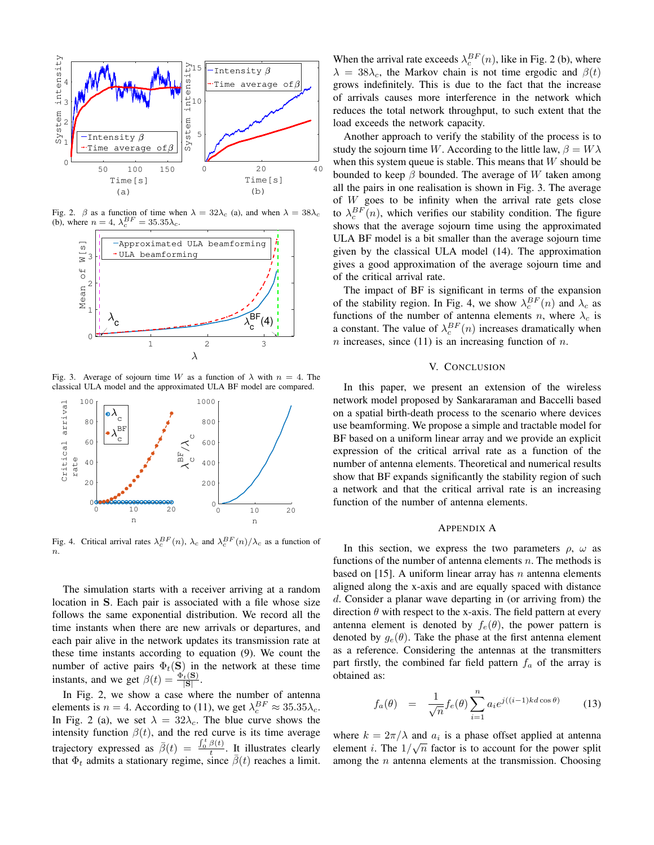

Fig. 2.  $\beta$  as a function of time when  $\lambda = 32\lambda_c$  (a), and when  $\lambda = 38\lambda_c$ (b), where  $n = 4$ ,  $\lambda_c^{BF} = 35.35 \lambda_c$ .



Fig. 3. Average of sojourn time W as a function of  $\lambda$  with  $n = 4$ . The classical ULA model and the approximated ULA BF model are compared.



Fig. 4. Critical arrival rates  $\lambda_c^{BF}(n)$ ,  $\lambda_c$  and  $\lambda_c^{BF}(n)/\lambda_c$  as a function of  $\overline{n}$ .

The simulation starts with a receiver arriving at a random location in S. Each pair is associated with a file whose size follows the same exponential distribution. We record all the time instants when there are new arrivals or departures, and each pair alive in the network updates its transmission rate at these time instants according to equation (9). We count the number of active pairs  $\Phi_t(\mathbf{S})$  in the network at these time instants, and we get  $\beta(t) = \frac{\Phi_t(\mathbf{S})}{|\mathbf{S}|}$ .

In Fig. 2, we show a case where the number of antenna elements is  $n = 4$ . According to (11), we get  $\lambda_c^{BF} \approx 35.35 \lambda_c$ . In Fig. 2 (a), we set  $\lambda = 32\lambda_c$ . The blue curve shows the intensity function  $\beta(t)$ , and the red curve is its time average trajectory expressed as  $\bar{\beta}(t) = \frac{\int_0^t \beta(t)}{t}$  $\frac{\rho(t)}{t}$ . It illustrates clearly that  $\Phi_t$  admits a stationary regime, since  $\bar{\beta}(t)$  reaches a limit.

When the arrival rate exceeds  $\lambda_c^{BF}(n)$ , like in Fig. 2 (b), where  $\lambda = 38\lambda_c$ , the Markov chain is not time ergodic and  $\beta(t)$ grows indefinitely. This is due to the fact that the increase of arrivals causes more interference in the network which reduces the total network throughput, to such extent that the load exceeds the network capacity.

Another approach to verify the stability of the process is to study the sojourn time W. According to the little law,  $\beta = W\lambda$ when this system queue is stable. This means that  $W$  should be bounded to keep  $\beta$  bounded. The average of W taken among all the pairs in one realisation is shown in Fig. 3. The average of  $W$  goes to be infinity when the arrival rate gets close to  $\lambda_c^{BF}(n)$ , which verifies our stability condition. The figure shows that the average sojourn time using the approximated ULA BF model is a bit smaller than the average sojourn time given by the classical ULA model (14). The approximation gives a good approximation of the average sojourn time and of the critical arrival rate.

The impact of BF is significant in terms of the expansion of the stability region. In Fig. 4, we show  $\lambda_c^{BF}(n)$  and  $\lambda_c$  as functions of the number of antenna elements n, where  $\lambda_c$  is a constant. The value of  $\lambda_c^{BF}(n)$  increases dramatically when n increases, since  $(11)$  is an increasing function of n.

#### V. CONCLUSION

In this paper, we present an extension of the wireless network model proposed by Sankararaman and Baccelli based on a spatial birth-death process to the scenario where devices use beamforming. We propose a simple and tractable model for BF based on a uniform linear array and we provide an explicit expression of the critical arrival rate as a function of the number of antenna elements. Theoretical and numerical results show that BF expands significantly the stability region of such a network and that the critical arrival rate is an increasing function of the number of antenna elements.

#### APPENDIX A

In this section, we express the two parameters  $\rho$ ,  $\omega$  as functions of the number of antenna elements  $n$ . The methods is based on [15]. A uniform linear array has  $n$  antenna elements aligned along the x-axis and are equally spaced with distance d. Consider a planar wave departing in (or arriving from) the direction  $\theta$  with respect to the x-axis. The field pattern at every antenna element is denoted by  $f_e(\theta)$ , the power pattern is denoted by  $g_e(\theta)$ . Take the phase at the first antenna element as a reference. Considering the antennas at the transmitters part firstly, the combined far field pattern  $f_a$  of the array is obtained as:

$$
f_a(\theta) = \frac{1}{\sqrt{n}} f_e(\theta) \sum_{i=1}^n a_i e^{j((i-1)kd\cos\theta)} \qquad (13)
$$

where  $k = 2\pi/\lambda$  and  $a_i$  is a phase offset applied at antenna element *i*. The  $1/\sqrt{n}$  factor is to account for the power split among the  $n$  antenna elements at the transmission. Choosing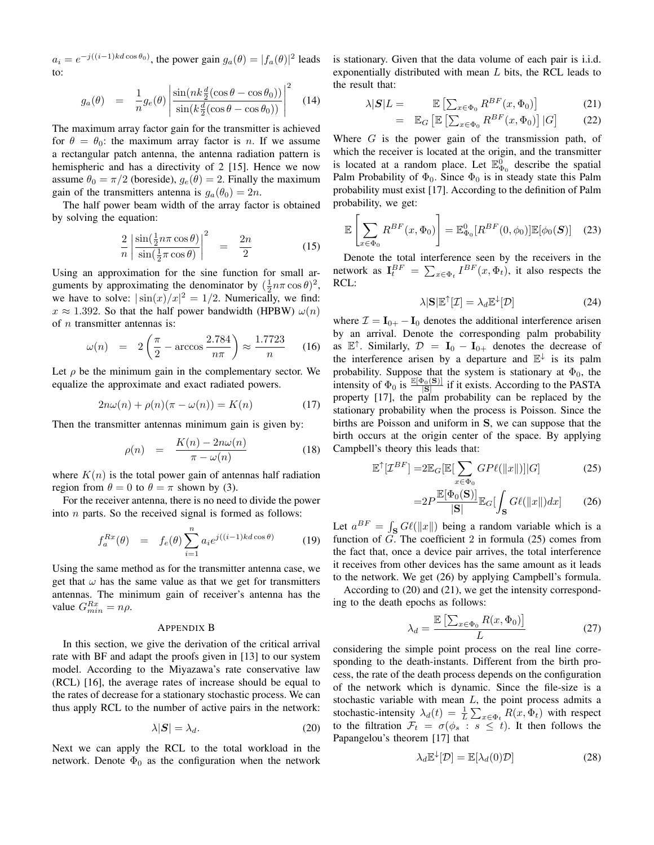$a_i = e^{-j((i-1)kd\cos\theta_0)}$ , the power gain  $g_a(\theta) = |f_a(\theta)|^2$  leads to:

$$
g_a(\theta) = \frac{1}{n} g_e(\theta) \left| \frac{\sin(nk\frac{d}{2}(\cos\theta - \cos\theta_0))}{\sin(k\frac{d}{2}(\cos\theta - \cos\theta_0))} \right|^2 \quad (14)
$$

The maximum array factor gain for the transmitter is achieved for  $\theta = \theta_0$ : the maximum array factor is n. If we assume a rectangular patch antenna, the antenna radiation pattern is hemispheric and has a directivity of 2 [15]. Hence we now assume  $\theta_0 = \pi/2$  (boreside),  $g_e(\theta) = 2$ . Finally the maximum gain of the transmitters antenna is  $g_a(\theta_0) = 2n$ .

The half power beam width of the array factor is obtained by solving the equation:

$$
\frac{2}{n} \left| \frac{\sin(\frac{1}{2}n\pi \cos \theta)}{\sin(\frac{1}{2}\pi \cos \theta)} \right|^2 = \frac{2n}{2} \tag{15}
$$

Using an approximation for the sine function for small arguments by approximating the denominator by  $(\frac{1}{2}n\pi\cos\theta)^2$ , we have to solve:  $|\sin(x)/x|^2 = 1/2$ . Numerically, we find:  $x \approx 1.392$ . So that the half power bandwidth (HPBW)  $\omega(n)$ of  $n$  transmitter antennas is:

$$
\omega(n) = 2\left(\frac{\pi}{2} - \arccos\frac{2.784}{n\pi}\right) \approx \frac{1.7723}{n} \qquad (16)
$$

Let  $\rho$  be the minimum gain in the complementary sector. We equalize the approximate and exact radiated powers.

$$
2n\omega(n) + \rho(n)(\pi - \omega(n)) = K(n)
$$
 (17)

Then the transmitter antennas minimum gain is given by:

$$
\rho(n) = \frac{K(n) - 2n\omega(n)}{\pi - \omega(n)} \tag{18}
$$

where  $K(n)$  is the total power gain of antennas half radiation region from  $\theta = 0$  to  $\theta = \pi$  shown by (3).

For the receiver antenna, there is no need to divide the power into  $n$  parts. So the received signal is formed as follows:

$$
f_a^{Rx}(\theta) = f_e(\theta) \sum_{i=1}^n a_i e^{j((i-1)kd\cos\theta)} \tag{19}
$$

Using the same method as for the transmitter antenna case, we get that  $\omega$  has the same value as that we get for transmitters antennas. The minimum gain of receiver's antenna has the value  $G_{min}^{Rx} = n\rho$ .

#### APPENDIX B

In this section, we give the derivation of the critical arrival rate with BF and adapt the proofs given in [13] to our system model. According to the Miyazawa's rate conservative law (RCL) [16], the average rates of increase should be equal to the rates of decrease for a stationary stochastic process. We can thus apply RCL to the number of active pairs in the network:

$$
\lambda|\mathbf{S}| = \lambda_d. \tag{20}
$$

Next we can apply the RCL to the total workload in the network. Denote  $\Phi_0$  as the configuration when the network is stationary. Given that the data volume of each pair is i.i.d. exponentially distributed with mean L bits, the RCL leads to the result that:

$$
\lambda |S|L = \mathbb{E}\left[\sum_{x \in \Phi_0} R^{BF}(x, \Phi_0)\right]
$$
 (21)

$$
= \mathbb{E}_G \left[ \mathbb{E} \left[ \sum_{x \in \Phi_0} R^{BF}(x, \Phi_0) \right] | G \right] \tag{22}
$$

Where  $G$  is the power gain of the transmission path, of which the receiver is located at the origin, and the transmitter is located at a random place. Let  $\mathbb{E}_{\Phi_0}^{\overline{0}}$  describe the spatial Palm Probability of  $\Phi_0$ . Since  $\Phi_0$  is in steady state this Palm probability must exist [17]. According to the definition of Palm probability, we get:

$$
\mathbb{E}\left[\sum_{x\in\Phi_0} R^{BF}(x,\Phi_0)\right] = \mathbb{E}_{\Phi_0}^0[R^{BF}(0,\phi_0)]\mathbb{E}[\phi_0(\mathbf{S})] \quad (23)
$$

Denote the total interference seen by the receivers in the network as  $\mathbf{I}_t^{BF} = \sum_{x \in \Phi_t} I^{BF}(x, \Phi_t)$ , it also respects the RCL:

$$
\lambda |S|\mathbb{E}^{\uparrow}[\mathcal{I}] = \lambda_d \mathbb{E}^{\downarrow}[\mathcal{D}] \tag{24}
$$

where  $\mathcal{I} = I_{0+} - I_0$  denotes the additional interference arisen by an arrival. Denote the corresponding palm probability as  $\mathbb{E}^{\uparrow}$ . Similarly,  $\mathcal{D} = \mathbf{I}_0 - \mathbf{I}_{0+}$  denotes the decrease of the interference arisen by a departure and  $\mathbb{E}^{\downarrow}$  is its palm probability. Suppose that the system is stationary at  $\Phi_0$ , the intensity of  $\Phi_0$  is  $\frac{\mathbb{E}[\Phi_0(S)]}{|S|}$  if it exists. According to the PASTA property [17], the palm probability can be replaced by the stationary probability when the process is Poisson. Since the births are Poisson and uniform in S, we can suppose that the birth occurs at the origin center of the space. By applying Campbell's theory this leads that:

$$
\mathbb{E}^{\uparrow}[\mathcal{I}^{BF}] = 2\mathbb{E}_G[\mathbb{E}[\sum_{x \in \Phi_0} GP\ell(\|x\|)]|G] \tag{25}
$$

$$
=2P\frac{\mathbb{E}[\Phi_0(\mathbf{S})]}{|\mathbf{S}|}\mathbb{E}_G[\int_{\mathbf{S}}G\ell(\|x\|)dx]
$$
 (26)

Let  $a^{BF} = \int_{\mathbf{S}} G\ell(\Vert x \Vert)$  being a random variable which is a function of  $\widetilde{G}$ . The coefficient 2 in formula (25) comes from the fact that, once a device pair arrives, the total interference it receives from other devices has the same amount as it leads to the network. We get (26) by applying Campbell's formula.

According to (20) and (21), we get the intensity corresponding to the death epochs as follows:

$$
\lambda_d = \frac{\mathbb{E}\left[\sum_{x \in \Phi_0} R(x, \Phi_0)\right]}{L} \tag{27}
$$

considering the simple point process on the real line corresponding to the death-instants. Different from the birth process, the rate of the death process depends on the configuration of the network which is dynamic. Since the file-size is a stochastic variable with mean  $L$ , the point process admits a stochastic-intensity  $\lambda_d(t) = \frac{1}{L} \sum_{x \in \Phi_t} R(x, \Phi_t)$  with respect to the filtration  $\mathcal{F}_t = \sigma(\phi_s : s \leq t)$ . It then follows the Papangelou's theorem [17] that

$$
\lambda_d \mathbb{E}^{\downarrow}[\mathcal{D}] = \mathbb{E}[\lambda_d(0)\mathcal{D}] \tag{28}
$$